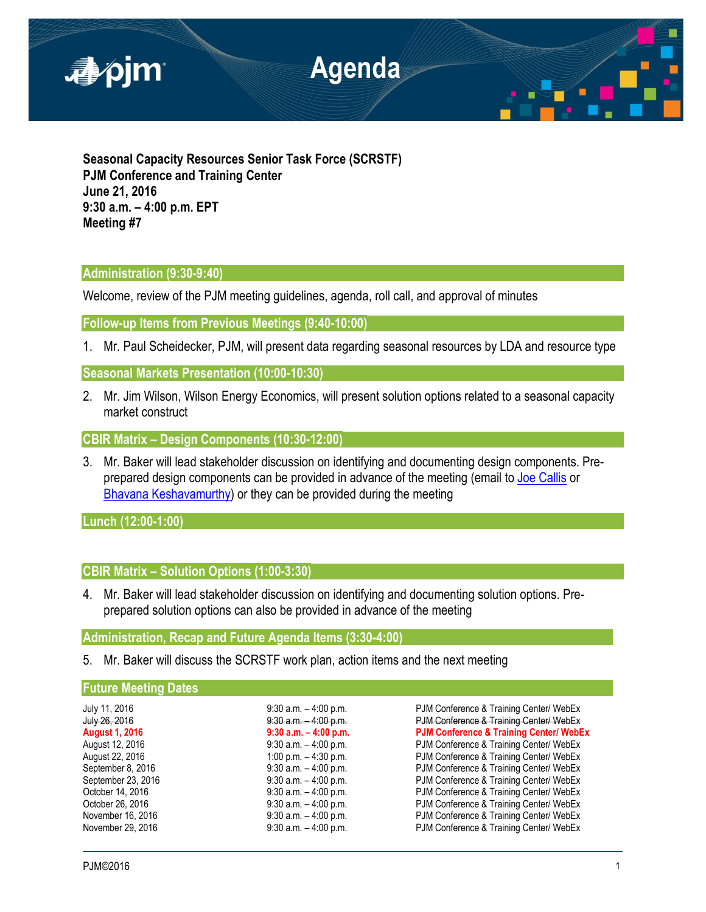

**Seasonal Capacity Resources Senior Task Force (SCRSTF) PJM Conference and Training Center June 21, 2016 9:30 a.m. – 4:00 p.m. EPT Meeting #7**

# **Administration (9:30-9:40)**

Welcome, review of the PJM meeting guidelines, agenda, roll call, and approval of minutes

**Follow-up Items from Previous Meetings (9:40-10:00)**

1. Mr. Paul Scheidecker, PJM, will present data regarding seasonal resources by LDA and resource type

**Seasonal Markets Presentation (10:00-10:30)**

2. Mr. Jim Wilson, Wilson Energy Economics, will present solution options related to a seasonal capacity market construct

**CBIR Matrix – Design Components (10:30-12:00)**

3. Mr. Baker will lead stakeholder discussion on identifying and documenting design components. Preprepared design components can be provided in advance of the meeting (email to [Joe Callis](mailto:joseph.callis@pjm.com?subject=SCRSTF%20Design%20Components) or [Bhavana Keshavamurthy\)](mailto:bhavana.murthy@pjm.com?subject=SCRSTF%20Design%20Components) or they can be provided during the meeting

**Lunch (12:00-1:00)**

# **CBIR Matrix – Solution Options (1:00-3:30)**

4. Mr. Baker will lead stakeholder discussion on identifying and documenting solution options. Preprepared solution options can also be provided in advance of the meeting

**Administration, Recap and Future Agenda Items (3:30-4:00)**

5. Mr. Baker will discuss the SCRSTF work plan, action items and the next meeting

## **Future Meeting Dates**

| July 11, 2016         | $9:30$ a.m. $-4:00$ p.m. | PJM Conference & Training Center/ WebEx            |
|-----------------------|--------------------------|----------------------------------------------------|
| July 26, 2016         | $9:30$ a.m. $-4:00$ p.m. | PJM Conference & Training Center/ WebEx            |
| <b>August 1, 2016</b> | $9:30$ a.m. $-4:00$ p.m. | <b>PJM Conference &amp; Training Center/ WebEx</b> |
| August 12, 2016       | $9:30$ a.m. $-4:00$ p.m. | PJM Conference & Training Center/ WebEx            |
| August 22, 2016       | 1:00 p.m. $-$ 4:30 p.m.  | PJM Conference & Training Center/ WebEx            |
| September 8, 2016     | $9:30$ a.m. $-4:00$ p.m. | PJM Conference & Training Center/ WebEx            |
| September 23, 2016    | $9:30$ a.m. $-4:00$ p.m. | PJM Conference & Training Center/ WebEx            |
| October 14, 2016      | $9:30$ a.m. $-4:00$ p.m. | PJM Conference & Training Center/ WebEx            |
| October 26, 2016      | $9:30$ a.m. $-4:00$ p.m. | PJM Conference & Training Center/ WebEx            |
| November 16, 2016     | $9:30$ a.m. $-4:00$ p.m. | PJM Conference & Training Center/ WebEx            |
| November 29, 2016     | $9:30$ a.m. $-4:00$ p.m. | PJM Conference & Training Center/ WebEx            |